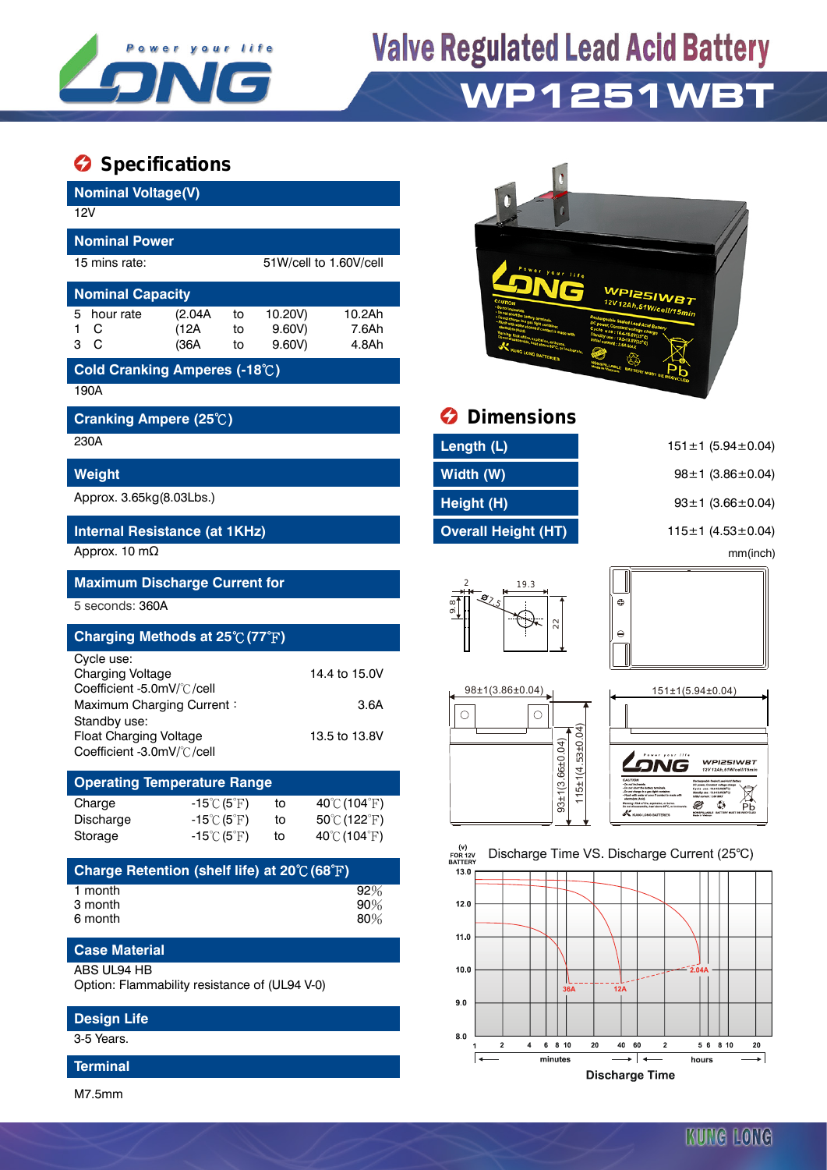

## **Valve Regulated Lead Acid Battery WP1251WBT**

### **Specifications**

| <b>Nominal Voltage(V)</b>                                                             |                                    |                                                                                 |                                         |                                                  |
|---------------------------------------------------------------------------------------|------------------------------------|---------------------------------------------------------------------------------|-----------------------------------------|--------------------------------------------------|
| 12V                                                                                   |                                    |                                                                                 |                                         |                                                  |
| <b>Nominal Power</b>                                                                  |                                    |                                                                                 |                                         |                                                  |
| 15 mins rate:                                                                         |                                    | 51W/cell to 1.60V/cell                                                          |                                         |                                                  |
| <b>Nominal Capacity</b>                                                               |                                    |                                                                                 |                                         | WPI25IW                                          |
| 5<br>(2.04A)<br>hour rate                                                             | 10.20V)<br>to                      | 10.2Ah                                                                          |                                         | 12V 12Ah, 51W/cell/15min                         |
| (12A)<br>С<br>1<br>3 C<br>(36A                                                        | $9.60V$ )<br>to<br>$9.60V$ )<br>to | 7.6Ah<br>4.8Ah                                                                  |                                         |                                                  |
| Cold Cranking Amperes (-18°C)                                                         |                                    |                                                                                 |                                         |                                                  |
| 190A                                                                                  |                                    |                                                                                 |                                         |                                                  |
| Cranking Ampere (25°C)                                                                |                                    |                                                                                 | <b>Dimensions</b>                       |                                                  |
| 230A                                                                                  |                                    |                                                                                 | Length (L)                              | $151 \pm 1$ (5.94 ± 0.04)                        |
| Weight                                                                                |                                    |                                                                                 | Width (W)                               | $98 \pm 1$ (3.86 $\pm$ 0.04)                     |
| Approx. 3.65kg(8.03Lbs.)                                                              |                                    |                                                                                 | Height (H)                              | $93 \pm 1$ (3.66 $\pm$ 0.04)                     |
| Internal Resistance (at 1KHz)                                                         |                                    |                                                                                 | <b>Overall Height (HT)</b>              | 115 $\pm$ 1 (4.53 $\pm$ 0.04)                    |
| Approx. 10 m $\Omega$                                                                 |                                    |                                                                                 |                                         | mm(inch)                                         |
| <b>Maximum Discharge Current for</b>                                                  |                                    |                                                                                 | 19.3                                    |                                                  |
| 5 seconds: 360A                                                                       |                                    |                                                                                 |                                         | ⊕                                                |
| Charging Methods at 25 $\mathrm{^\circ C}$ (77 $\mathrm{^\circ F})$                   |                                    |                                                                                 | $^{22}$                                 | $\ominus$                                        |
| Cycle use:                                                                            |                                    |                                                                                 |                                         |                                                  |
| <b>Charging Voltage</b>                                                               |                                    | 14.4 to 15.0V                                                                   |                                         |                                                  |
| Coefficient -5.0mV/°C/cell<br>Maximum Charging Current:                               |                                    | 3.6A                                                                            | 98±1(3.86±0.04)                         | 151±1(5.94±0.04)                                 |
| Standby use:                                                                          |                                    |                                                                                 | O<br>O                                  |                                                  |
| <b>Float Charging Voltage</b><br>Coefficient -3.0mV/°C/cell                           |                                    | 13.5 to 13.8V                                                                   |                                         |                                                  |
|                                                                                       |                                    |                                                                                 | 15±1(4.53±0.04)<br>93±1(3.66±0.04)      | <i><b>WPI25IWBT</b></i><br>12V 12Ab 51W/coll/15m |
| <b>Operating Temperature Range</b>                                                    |                                    |                                                                                 |                                         |                                                  |
| Charge<br>$-15^{\circ}C(5^{\circ}F)$<br>Discharge<br>$-15^{\circ}$ C $(5^{\circ}$ F)  | to<br>to                           | 40 $\rm ^{\circ}$ C (104 $\rm ^{\circ}$ F)<br>$50^{\circ}$ C (122 $^{\circ}$ F) |                                         | ٩ð<br><b>Pb</b><br>K KUNG LONG BATTERIES         |
| Storage<br>$-15^{\circ}C(5^{\circ}F)$                                                 | to                                 | 40℃ (104°F)                                                                     |                                         |                                                  |
|                                                                                       |                                    |                                                                                 | (v)<br><b>FOR 12V</b><br><b>BATTERY</b> | Discharge Time VS. Discharge Current (25°C)      |
| Charge Retention (shelf life) at 20 $\mathrm{\mathbb{C}}$ (68 $\mathrm{\mathbb{F}}$ ) |                                    |                                                                                 | 13.0                                    |                                                  |
| 1 month<br>3 month                                                                    |                                    | 92%<br>90%                                                                      | 12.0                                    |                                                  |
| 6 month                                                                               |                                    | 80%                                                                             |                                         |                                                  |
| <b>Case Material</b>                                                                  |                                    |                                                                                 | 11.0                                    |                                                  |
| <b>ABS UL94 HB</b>                                                                    |                                    |                                                                                 | 10.0                                    | $-2.04A$                                         |
| Option: Flammability resistance of (UL94 V-0)                                         |                                    |                                                                                 | 36A                                     | <b>12A</b>                                       |
| <b>Design Life</b>                                                                    |                                    |                                                                                 | 9.0                                     |                                                  |
| 3-5 Years.                                                                            |                                    |                                                                                 | 8.0                                     |                                                  |



**Cranking Ampere (25**℃**) Dimensions**

| Length (L)                 |
|----------------------------|
| Width (W)                  |
| Height (H)                 |
| <b>Overall Height (HT)</b> |











 ${\bf 40}$ 60

 $\overline{\phantom{a}}$ 

**Discharge Time** 

 $\overline{2}$ 

 $\overline{2}$ 

 $6810$ 

minutes

 $\overline{4}$ 



20  $\overline{\phantom{0}}$ 

 $5\quad 6\quad 8\quad 10$ 

hours

### **Terminal**

M7.5mm